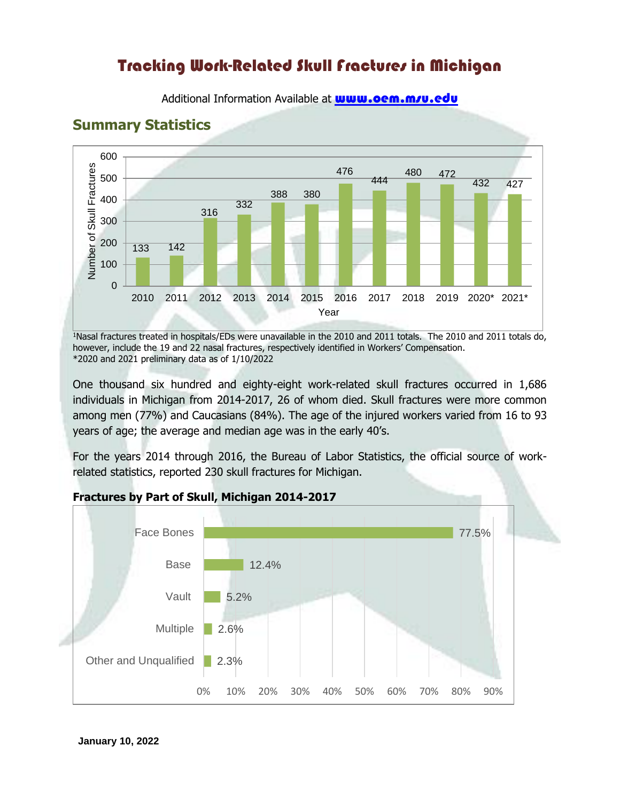# Tracking Work-Related Skull Fractures in Michigan

**Summary Statistics** 600 Number of Skull Fractures Number of Skull Fractures 476 480 472 500 444 432 427 388 380 400 332 316 300 200 133 142 100  $\overline{0}$ 2010 2011 2012 2013 2014 2015 2016 2017 2018 2019 2020\* 2021\*

Additional Information Available at **www.oem.m/u.edu** 

<sup>1</sup>Nasal fractures treated in hospitals/EDs were unavailable in the 2010 and 2011 totals. The 2010 and 2011 totals do, Year

however, include the 19 and 22 nasal fractures, respectively identified in Workers' Compensation. \*2020 and 2021 preliminary data as of 1/10/2022

One thousand six hundred and eighty-eight work-related skull fractures occurred in 1,686 individuals in Michigan from 2014-2017, 26 of whom died. Skull fractures were more common among men (77%) and Caucasians (84%). The age of the injured workers varied from 16 to 93 years of age; the average and median age was in the early 40's.

For the years 2014 through 2016, the Bureau of Labor Statistics, the official source of workrelated statistics, reported 230 skull fractures for Michigan.



#### **Fractures by Part of Skull, Michigan 2014-2017**